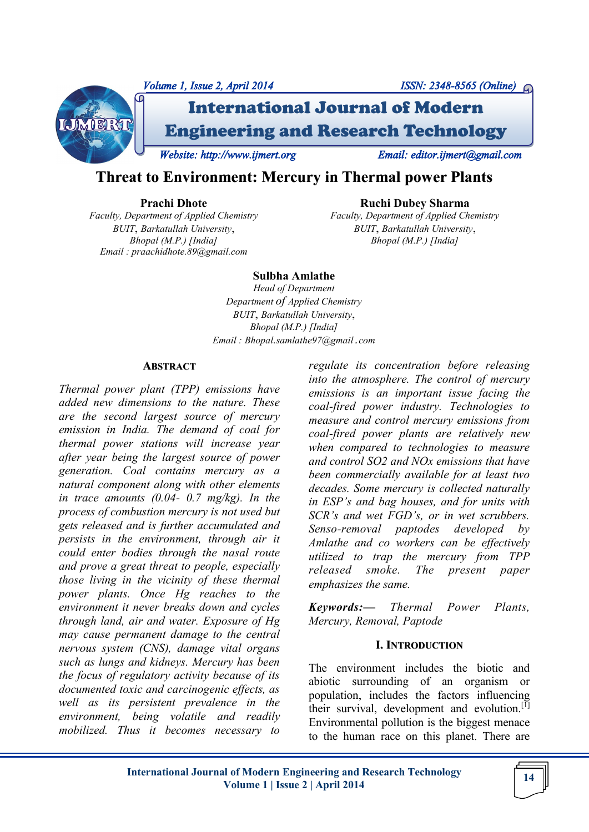

# **Threat to Environment: Mercury in Thermal power Plants**

#### **Prachi Dhote**

*Faculty, Department of Applied Chemistry BUIT*, *Barkatullah University*, *Bhopal (M.P.) [India] Email : praachidhote.89@gmail.com*

**Ruchi Dubey Sharma** *Faculty, Department of Applied Chemistry BUIT*, *Barkatullah University*,

*Bhopal (M.P.) [India]*

**Sulbha Amlathe**

*Head of Department Department of Applied Chemistry BUIT*, *Barkatullah University*, *Bhopal (M.P.) [India] Email : Bhopal.samlathe97@gmail.com*

#### **ABSTRACT**

*Thermal power plant (TPP) emissions have added new dimensions to the nature. These are the second largest source of mercury emission in India. The demand of coal for thermal power stations will increase year after year being the largest source of power generation. Coal contains mercury as a natural component along with other elements in trace amounts (0.04- 0.7 mg/kg). In the process of combustion mercury is not used but gets released and is further accumulated and persists in the environment, through air it could enter bodies through the nasal route and prove a great threat to people, especially those living in the vicinity of these thermal power plants. Once Hg reaches to the environment it never breaks down and cycles through land, air and water. Exposure of Hg may cause permanent damage to the central nervous system (CNS), damage vital organs such as lungs and kidneys. Mercury has been the focus of regulatory activity because of its documented toxic and carcinogenic effects, as well as its persistent prevalence in the environment, being volatile and readily mobilized. Thus it becomes necessary to*  *regulate its concentration before releasing into the atmosphere. The control of mercury emissions is an important issue facing the coal-fired power industry. Technologies to measure and control mercury emissions from coal-fired power plants are relatively new when compared to technologies to measure and control SO2 and NOx emissions that have been commercially available for at least two decades. Some mercury is collected naturally in ESP's and bag houses, and for units with SCR's and wet FGD's, or in wet scrubbers. Senso-removal paptodes developed by Amlathe and co workers can be effectively utilized to trap the mercury from TPP released smoke. The present paper emphasizes the same.*

*Keywords:— Thermal Power Plants, Mercury, Removal, Paptode*

#### **I. INTRODUCTION**

The environment includes the biotic and abiotic surrounding of an organism or population, includes the factors influencing their survival, development and evolution.<sup>[1]</sup> Environmental pollution is the biggest menace to the human race on this planet. There are

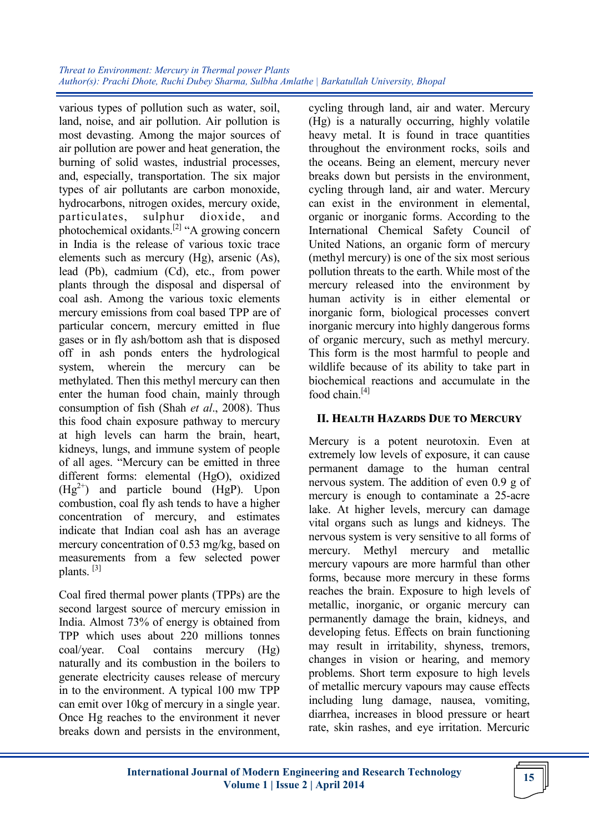various types of pollution such as water, soil, land, noise, and air pollution. Air pollution is most devasting. Among the major sources of air pollution are power and heat generation, the burning of solid wastes, industrial processes, and, especially, transportation. The six major types of air pollutants are carbon monoxide, hydrocarbons, nitrogen oxides, mercury oxide, particulates, sulphur dioxide, and photochemical oxidants.[2] "A growing concern in India is the release of various toxic trace elements such as mercury (Hg), arsenic (As), lead (Pb), cadmium (Cd), etc., from power plants through the disposal and dispersal of coal ash. Among the various toxic elements mercury emissions from coal based TPP are of particular concern, mercury emitted in flue gases or in fly ash/bottom ash that is disposed off in ash ponds enters the hydrological system, wherein the mercury can be methylated. Then this methyl mercury can then enter the human food chain, mainly through consumption of fish (Shah *et al*., 2008). Thus this food chain exposure pathway to mercury at high levels can harm the brain, heart, kidneys, lungs, and immune system of people of all ages. "Mercury can be emitted in three different forms: elemental (HgO), oxidized  $(Hg<sup>2+</sup>)$  and particle bound (HgP). Upon combustion, coal fly ash tends to have a higher concentration of mercury, and estimates indicate that Indian coal ash has an average mercury concentration of 0.53 mg/kg, based on measurements from a few selected power plants. [3]

Coal fired thermal power plants (TPPs) are the second largest source of mercury emission in India. Almost 73% of energy is obtained from TPP which uses about 220 millions tonnes coal/year. Coal contains mercury (Hg) naturally and its combustion in the boilers to generate electricity causes release of mercury in to the environment. A typical 100 mw TPP can emit over 10kg of mercury in a single year. Once Hg reaches to the environment it never breaks down and persists in the environment,

cycling through land, air and water. Mercury (Hg) is a naturally occurring, highly volatile heavy metal. It is found in trace quantities throughout the environment rocks, soils and the oceans. Being an element, mercury never breaks down but persists in the environment, cycling through land, air and water. Mercury can exist in the environment in elemental, organic or inorganic forms. According to the International Chemical Safety Council of United Nations, an organic form of mercury (methyl mercury) is one of the six most serious pollution threats to the earth. While most of the mercury released into the environment by human activity is in either elemental or inorganic form, biological processes convert inorganic mercury into highly dangerous forms of organic mercury, such as methyl mercury. This form is the most harmful to people and wildlife because of its ability to take part in biochemical reactions and accumulate in the food chain.<sup>[4]</sup>

### **II. HEALTH HAZARDS DUE TO MERCURY**

Mercury is a potent neurotoxin. Even at extremely low levels of exposure, it can cause permanent damage to the human central nervous system. The addition of even 0.9 g of mercury is enough to contaminate a 25-acre lake. At higher levels, mercury can damage vital organs such as lungs and kidneys. The nervous system is very sensitive to all forms of mercury. Methyl mercury and metallic mercury vapours are more harmful than other forms, because more mercury in these forms reaches the brain. Exposure to high levels of metallic, inorganic, or organic mercury can permanently damage the brain, kidneys, and developing fetus. Effects on brain functioning may result in irritability, shyness, tremors, changes in vision or hearing, and memory problems. Short term exposure to high levels of metallic mercury vapours may cause effects including lung damage, nausea, vomiting, diarrhea, increases in blood pressure or heart rate, skin rashes, and eye irritation. Mercuric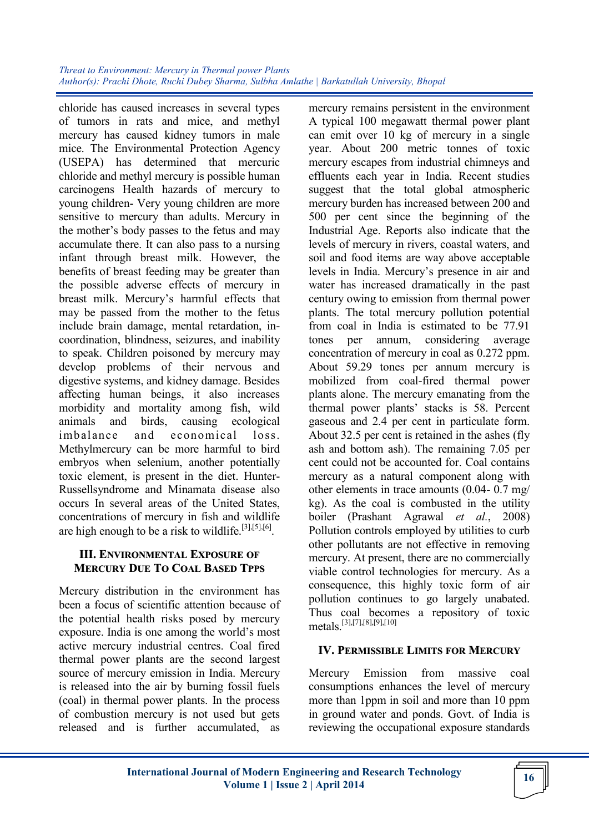chloride has caused increases in several types of tumors in rats and mice, and methyl mercury has caused kidney tumors in male mice. The Environmental Protection Agency (USEPA) has determined that mercuric chloride and methyl mercury is possible human carcinogens Health hazards of mercury to young children- Very young children are more sensitive to mercury than adults. Mercury in the mother's body passes to the fetus and may accumulate there. It can also pass to a nursing infant through breast milk. However, the benefits of breast feeding may be greater than the possible adverse effects of mercury in breast milk. Mercury's harmful effects that may be passed from the mother to the fetus include brain damage, mental retardation, incoordination, blindness, seizures, and inability to speak. Children poisoned by mercury may develop problems of their nervous and digestive systems, and kidney damage. Besides affecting human beings, it also increases morbidity and mortality among fish, wild animals and birds, causing ecological imbalance and economical loss. Methylmercury can be more harmful to bird embryos when selenium, another potentially toxic element, is present in the diet. Hunter-Russellsyndrome and Minamata disease also occurs In several areas of the United States, concentrations of mercury in fish and wildlife are high enough to be a risk to wildlife.<sup>[3],[5],[6]</sup>.

### **III. ENVIRONMENTAL EXPOSURE OF MERCURY DUE TO COAL BASED TPPS**

Mercury distribution in the environment has been a focus of scientific attention because of the potential health risks posed by mercury exposure. India is one among the world's most active mercury industrial centres. Coal fired thermal power plants are the second largest source of mercury emission in India. Mercury is released into the air by burning fossil fuels (coal) in thermal power plants. In the process of combustion mercury is not used but gets released and is further accumulated, as

mercury remains persistent in the environment A typical 100 megawatt thermal power plant can emit over 10 kg of mercury in a single year. About 200 metric tonnes of toxic mercury escapes from industrial chimneys and effluents each year in India. Recent studies suggest that the total global atmospheric mercury burden has increased between 200 and 500 per cent since the beginning of the Industrial Age. Reports also indicate that the levels of mercury in rivers, coastal waters, and soil and food items are way above acceptable levels in India. Mercury's presence in air and water has increased dramatically in the past century owing to emission from thermal power plants. The total mercury pollution potential from coal in India is estimated to be 77.91 tones per annum, considering average concentration of mercury in coal as 0.272 ppm. About 59.29 tones per annum mercury is mobilized from coal-fired thermal power plants alone. The mercury emanating from the thermal power plants' stacks is 58. Percent gaseous and 2.4 per cent in particulate form. About 32.5 per cent is retained in the ashes (fly ash and bottom ash). The remaining 7.05 per cent could not be accounted for. Coal contains mercury as a natural component along with other elements in trace amounts (0.04- 0.7 mg/ kg). As the coal is combusted in the utility boiler (Prashant Agrawal *et al.*, 2008) Pollution controls employed by utilities to curb other pollutants are not effective in removing mercury. At present, there are no commercially viable control technologies for mercury. As a consequence, this highly toxic form of air pollution continues to go largely unabated. Thus coal becomes a repository of toxic metals.[3],[7],[8],[9],[10]

# **IV. PERMISSIBLE LIMITS FOR MERCURY**

Mercury Emission from massive coal consumptions enhances the level of mercury more than 1ppm in soil and more than 10 ppm in ground water and ponds. Govt. of India is reviewing the occupational exposure standards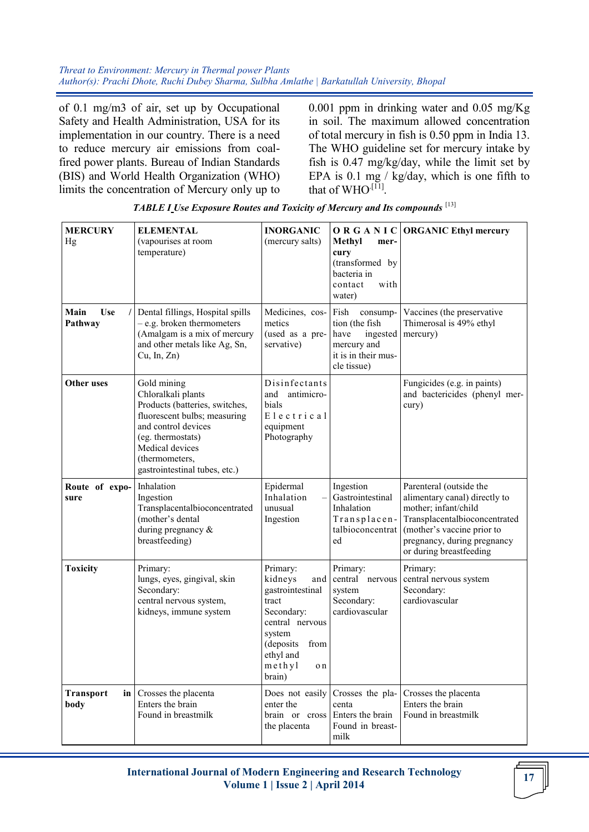*Threat to Environment: Mercury in Thermal power Plants Author(s): Prachi Dhote, Ruchi Dubey Sharma, Sulbha Amlathe | Barkatullah University, Bhopal* 

of 0.1 mg/m3 of air, set up by Occupational Safety and Health Administration, USA for its implementation in our country. There is a need to reduce mercury air emissions from coalfired power plants. Bureau of Indian Standards (BIS) and World Health Organization (WHO) limits the concentration of Mercury only up to

0.001 ppm in drinking water and 0.05 mg/Kg in soil. The maximum allowed concentration of total mercury in fish is 0.50 ppm in India 13. The WHO guideline set for mercury intake by fish is 0.47 mg/kg/day, while the limit set by EPA is 0.1 mg / kg/day, which is one fifth to that of  $WHO^{[11]}$ .

| <b>MERCURY</b><br>Hg          | <b>ELEMENTAL</b><br>(vapourises at room<br>temperature)                                                                                                                                                               | <b>INORGANIC</b><br>(mercury salts)                                                                                                                              | Methyl<br>mer-<br>cury<br>(transformed by<br>bacteria in<br>with<br>contact<br>water)                       | O R G A N I C ORGANIC Ethyl mercury                                                                                                                                                                       |
|-------------------------------|-----------------------------------------------------------------------------------------------------------------------------------------------------------------------------------------------------------------------|------------------------------------------------------------------------------------------------------------------------------------------------------------------|-------------------------------------------------------------------------------------------------------------|-----------------------------------------------------------------------------------------------------------------------------------------------------------------------------------------------------------|
| <b>Use</b><br>Main<br>Pathway | Dental fillings, Hospital spills<br>$-$ e.g. broken thermometers<br>(Amalgam is a mix of mercury<br>and other metals like Ag, Sn,<br>Cu, In, Zn)                                                                      | Medicines, cos-<br>metics<br>(used as a pre-<br>servative)                                                                                                       | Fish<br>consump-<br>tion (the fish<br>ingested<br>have<br>mercury and<br>it is in their mus-<br>cle tissue) | Vaccines (the preservative<br>Thimerosal is 49% ethyl<br>mercury)                                                                                                                                         |
| Other uses                    | Gold mining<br>Chloralkali plants<br>Products (batteries, switches,<br>fluorescent bulbs; measuring<br>and control devices<br>(eg. thermostats)<br>Medical devices<br>(thermometers,<br>gastrointestinal tubes, etc.) | Disinfectants<br>antimicro-<br>and<br>bials<br>Electrical<br>equipment<br>Photography                                                                            |                                                                                                             | Fungicides (e.g. in paints)<br>and bactericides (phenyl mer-<br>cury)                                                                                                                                     |
| Route of expo-<br>sure        | Inhalation<br>Ingestion<br>Transplacentalbioconcentrated<br>(mother's dental<br>during pregnancy &<br>breastfeeding)                                                                                                  | Epidermal<br>Inhalation<br>unusual<br>Ingestion                                                                                                                  | Ingestion<br>Gastrointestinal<br>Inhalation<br>Transplacen-<br>talbioconcentrat<br>ed                       | Parenteral (outside the<br>alimentary canal) directly to<br>mother; infant/child<br>Transplacentalbioconcentrated<br>(mother's vaccine prior to<br>pregnancy, during pregnancy<br>or during breastfeeding |
| <b>Toxicity</b>               | Primary:<br>lungs, eyes, gingival, skin<br>Secondary:<br>central nervous system,<br>kidneys, immune system                                                                                                            | Primary:<br>kidneys<br>and<br>gastrointestinal<br>tract<br>Secondary:<br>central nervous<br>system<br>(deposits)<br>from<br>ethyl and<br>methyl<br>o n<br>brain) | Primary:<br>central nervous<br>system<br>Secondary:<br>cardiovascular                                       | Primary:<br>central nervous system<br>Secondary:<br>cardiovascular                                                                                                                                        |
| <b>Transport</b><br>body      | in   Crosses the placenta<br>Enters the brain<br>Found in breastmilk                                                                                                                                                  | Does not easily<br>enter the<br>brain or cross<br>the placenta                                                                                                   | Crosses the pla-<br>centa<br>Enters the brain<br>Found in breast-<br>milk                                   | Crosses the placenta<br>Enters the brain<br>Found in breastmilk                                                                                                                                           |

*TABLE I Use Exposure Routes and Toxicity of Mercury and Its compounds* [13]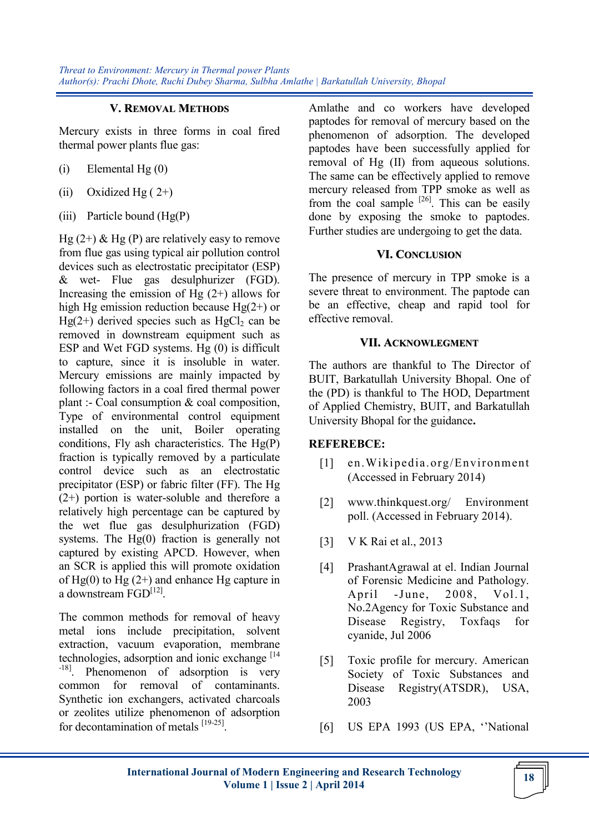#### **V. REMOVAL METHODS**

Mercury exists in three forms in coal fired thermal power plants flue gas:

- $(i)$  Elemental Hg $(0)$
- (ii) Oxidized Hg  $(2+)$
- (iii) Particle bound  $(Hg(P))$

Hg  $(2+)$  & Hg  $(P)$  are relatively easy to remove from flue gas using typical air pollution control devices such as electrostatic precipitator (ESP) & wet- Flue gas desulphurizer (FGD). Increasing the emission of Hg  $(2+)$  allows for high Hg emission reduction because  $Hg(2+)$  or  $He(2+)$  derived species such as  $HeCl<sub>2</sub>$  can be removed in downstream equipment such as ESP and Wet FGD systems. Hg (0) is difficult to capture, since it is insoluble in water. Mercury emissions are mainly impacted by following factors in a coal fired thermal power plant :- Coal consumption & coal composition, Type of environmental control equipment installed on the unit, Boiler operating conditions, Fly ash characteristics. The Hg(P) fraction is typically removed by a particulate control device such as an electrostatic precipitator (ESP) or fabric filter (FF). The Hg (2+) portion is water-soluble and therefore a relatively high percentage can be captured by the wet flue gas desulphurization (FGD) systems. The Hg(0) fraction is generally not captured by existing APCD. However, when an SCR is applied this will promote oxidation of  $Hg(0)$  to  $Hg(2+)$  and enhance Hg capture in a downstream FGD<sup>[12]</sup>.

The common methods for removal of heavy metal ions include precipitation, solvent extraction, vacuum evaporation, membrane technologies, adsorption and ionic exchange  $[14]$ -18]. Phenomenon of adsorption is very common for removal of contaminants. Synthetic ion exchangers, activated charcoals or zeolites utilize phenomenon of adsorption for decontamination of metals [19-25].

Amlathe and co workers have developed paptodes for removal of mercury based on the phenomenon of adsorption. The developed paptodes have been successfully applied for removal of Hg (II) from aqueous solutions. The same can be effectively applied to remove mercury released from TPP smoke as well as from the coal sample  $[26]$ . This can be easily done by exposing the smoke to paptodes. Further studies are undergoing to get the data.

### **VI. CONCLUSION**

The presence of mercury in TPP smoke is a severe threat to environment. The paptode can be an effective, cheap and rapid tool for effective removal.

### **VII. ACKNOWLEGMENT**

The authors are thankful to The Director of BUIT, Barkatullah University Bhopal. One of the (PD) is thankful to The HOD, Department of Applied Chemistry, BUIT, and Barkatullah University Bhopal for the guidance**.**

# **REFEREBCE:**

- [1] en.Wikipedia.org/Environment (Accessed in February 2014)
- [2] www.thinkquest.org/ Environment poll. (Accessed in February 2014).
- [3] V K Rai et al., 2013
- [4] PrashantAgrawal at el. Indian Journal of Forensic Medicine and Pathology. April -June, 2008, Vol.1, No.2Agency for Toxic Substance and Disease Registry, Toxfaqs for cyanide, Jul 2006
- [5] Toxic profile for mercury. American Society of Toxic Substances and Disease Registry(ATSDR), USA, 2003
- [6] US EPA 1993 (US EPA, ''National